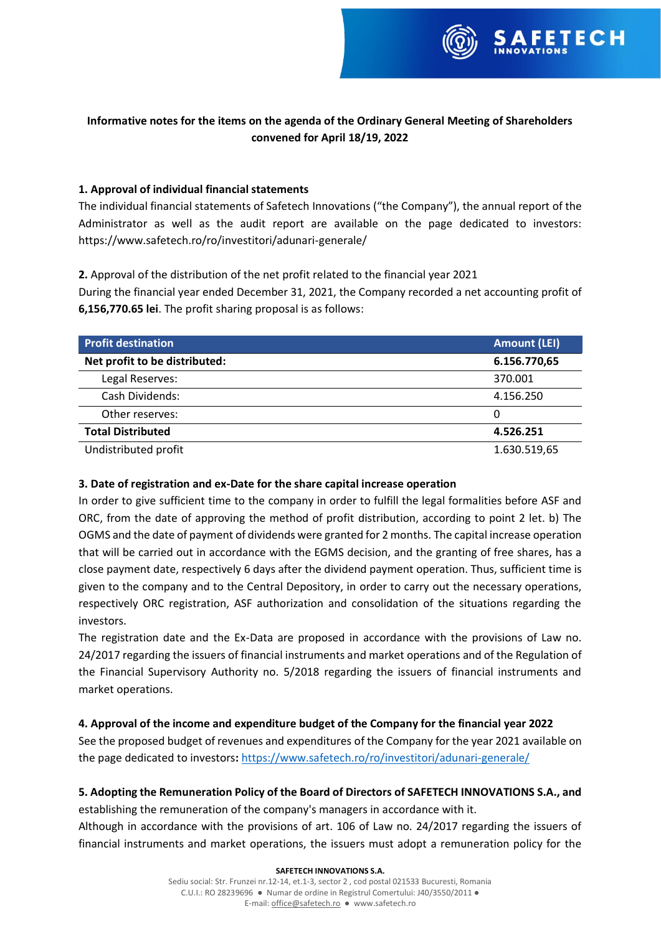

# **Informative notes for the items on the agenda of the Ordinary General Meeting of Shareholders convened for April 18/19, 2022**

### **1. Approval of individual financial statements**

The individual financial statements of Safetech Innovations ("the Company"), the annual report of the Administrator as well as the audit report are available on the page dedicated to investors: https://www.safetech.ro/ro/investitori/adunari-generale/

**2.** Approval of the distribution of the net profit related to the financial year 2021

During the financial year ended December 31, 2021, the Company recorded a net accounting profit of **6,156,770.65 lei**. The profit sharing proposal is as follows:

| <b>Profit destination</b>     | <b>Amount (LEI)</b> |
|-------------------------------|---------------------|
| Net profit to be distributed: | 6.156.770,65        |
| Legal Reserves:               | 370.001             |
| Cash Dividends:               | 4.156.250           |
| Other reserves:               | 0                   |
| <b>Total Distributed</b>      | 4.526.251           |
| Undistributed profit          | 1.630.519,65        |

### **3. Date of registration and ex-Date for the share capital increase operation**

In order to give sufficient time to the company in order to fulfill the legal formalities before ASF and ORC, from the date of approving the method of profit distribution, according to point 2 let. b) The OGMS and the date of payment of dividends were granted for 2 months. The capital increase operation that will be carried out in accordance with the EGMS decision, and the granting of free shares, has a close payment date, respectively 6 days after the dividend payment operation. Thus, sufficient time is given to the company and to the Central Depository, in order to carry out the necessary operations, respectively ORC registration, ASF authorization and consolidation of the situations regarding the investors.

The registration date and the Ex-Data are proposed in accordance with the provisions of Law no. 24/2017 regarding the issuers of financial instruments and market operations and of the Regulation of the Financial Supervisory Authority no. 5/2018 regarding the issuers of financial instruments and market operations.

## **4. Approval of the income and expenditure budget of the Company for the financial year 2022**

See the proposed budget of revenues and expenditures of the Company for the year 2021 available on the page dedicated to investors**:** <https://www.safetech.ro/ro/investitori/adunari-generale/>

# **5. Adopting the Remuneration Policy of the Board of Directors of SAFETECH INNOVATIONS S.A., and**

establishing the remuneration of the company's managers in accordance with it.

Although in accordance with the provisions of art. 106 of Law no. 24/2017 regarding the issuers of financial instruments and market operations, the issuers must adopt a remuneration policy for the

#### **SAFETECH INNOVATIONS S.A.**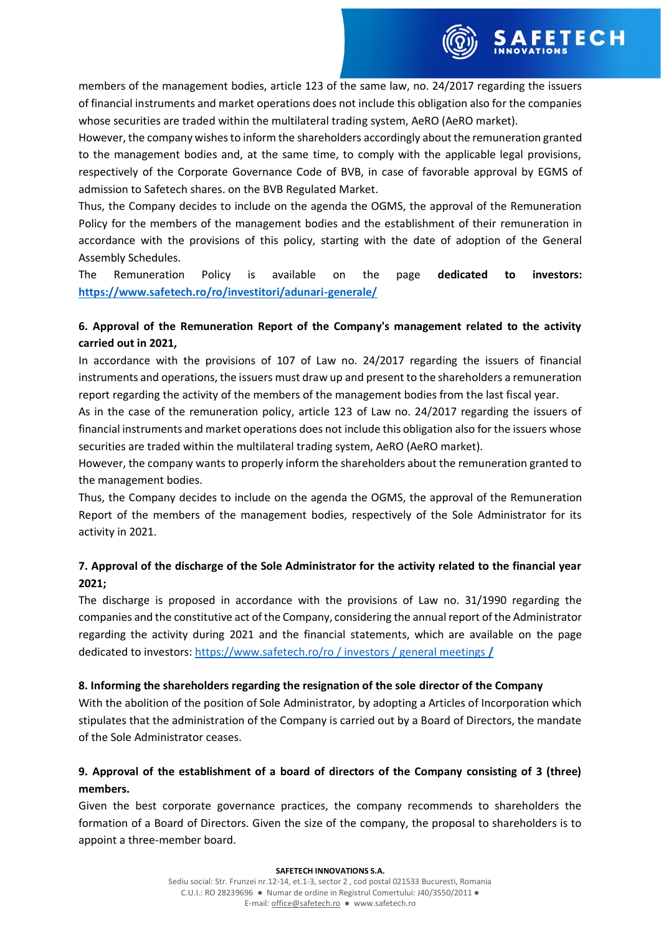

members of the management bodies, article 123 of the same law, no. 24/2017 regarding the issuers of financial instruments and market operations does not include this obligation also for the companies whose securities are traded within the multilateral trading system, AeRO (AeRO market).

However, the company wishes to inform the shareholders accordingly about the remuneration granted to the management bodies and, at the same time, to comply with the applicable legal provisions, respectively of the Corporate Governance Code of BVB, in case of favorable approval by EGMS of admission to Safetech shares. on the BVB Regulated Market.

Thus, the Company decides to include on the agenda the OGMS, the approval of the Remuneration Policy for the members of the management bodies and the establishment of their remuneration in accordance with the provisions of this policy, starting with the date of adoption of the General Assembly Schedules.

The Remuneration Policy is available on the page **dedicated to investors: <https://www.safetech.ro/ro/investitori/adunari-generale/>**

# **6. Approval of the Remuneration Report of the Company's management related to the activity carried out in 2021,**

In accordance with the provisions of 107 of Law no. 24/2017 regarding the issuers of financial instruments and operations, the issuers must draw up and present to the shareholders a remuneration report regarding the activity of the members of the management bodies from the last fiscal year.

As in the case of the remuneration policy, article 123 of Law no. 24/2017 regarding the issuers of financial instruments and market operations does not include this obligation also for the issuers whose securities are traded within the multilateral trading system, AeRO (AeRO market).

However, the company wants to properly inform the shareholders about the remuneration granted to the management bodies.

Thus, the Company decides to include on the agenda the OGMS, the approval of the Remuneration Report of the members of the management bodies, respectively of the Sole Administrator for its activity in 2021.

# **7. Approval of the discharge of the Sole Administrator for the activity related to the financial year 2021;**

The discharge is proposed in accordance with the provisions of Law no. 31/1990 regarding the companies and the constitutive act of the Company, considering the annual report of the Administrator regarding the activity during 2021 and the financial statements, which are available on the page dedicated to investors: [https://www.safetech.ro/ro / investors / general meetings](https://www.safetech.ro/ro%20/%20investors%20/%20general%20meetings%20/) **/**

## **8. Informing the shareholders regarding the resignation of the sole director of the Company**

With the abolition of the position of Sole Administrator, by adopting a Articles of Incorporation which stipulates that the administration of the Company is carried out by a Board of Directors, the mandate of the Sole Administrator ceases.

# **9. Approval of the establishment of a board of directors of the Company consisting of 3 (three) members.**

Given the best corporate governance practices, the company recommends to shareholders the formation of a Board of Directors. Given the size of the company, the proposal to shareholders is to appoint a three-member board.

#### **SAFETECH INNOVATIONS S.A.**